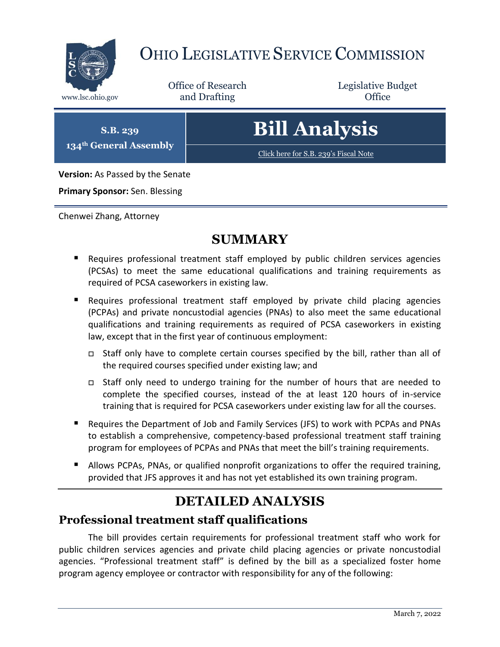

## OHIO LEGISLATIVE SERVICE COMMISSION

Office of Research www.lsc.ohio.gov **and Drafting Office** 

Legislative Budget

**S.B. 239 134th General Assembly**

# **Bill Analysis**

[Click here for S.B. 239](https://www.legislature.ohio.gov/legislation/legislation-documents?id=GA134-SB-239)'s Fiscal Note

**Version:** As Passed by the Senate

**Primary Sponsor:** Sen. Blessing

Chenwei Zhang, Attorney

### **SUMMARY**

- Requires professional treatment staff employed by public children services agencies (PCSAs) to meet the same educational qualifications and training requirements as required of PCSA caseworkers in existing law.
- Requires professional treatment staff employed by private child placing agencies (PCPAs) and private noncustodial agencies (PNAs) to also meet the same educational qualifications and training requirements as required of PCSA caseworkers in existing law, except that in the first year of continuous employment:
	- Staff only have to complete certain courses specified by the bill, rather than all of the required courses specified under existing law; and
	- Staff only need to undergo training for the number of hours that are needed to complete the specified courses, instead of the at least 120 hours of in-service training that is required for PCSA caseworkers under existing law for all the courses.
- Requires the Department of Job and Family Services (JFS) to work with PCPAs and PNAs to establish a comprehensive, competency-based professional treatment staff training program for employees of PCPAs and PNAs that meet the bill's training requirements.
- **Allows PCPAs, PNAs, or qualified nonprofit organizations to offer the required training,** provided that JFS approves it and has not yet established its own training program.

## **DETAILED ANALYSIS**

#### **Professional treatment staff qualifications**

The bill provides certain requirements for professional treatment staff who work for public children services agencies and private child placing agencies or private noncustodial agencies. "Professional treatment staff" is defined by the bill as a specialized foster home program agency employee or contractor with responsibility for any of the following: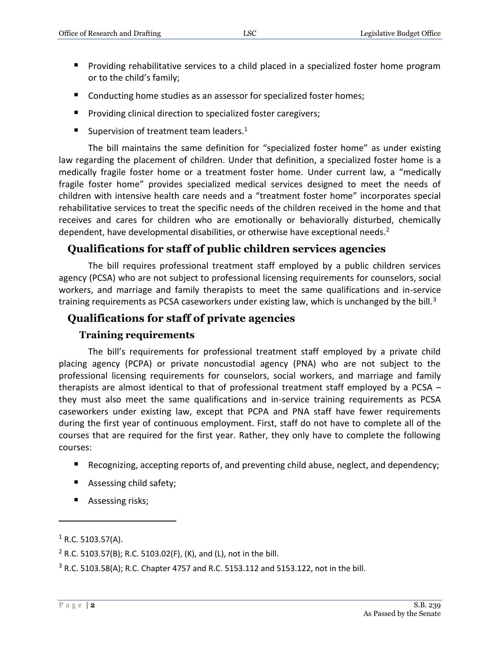- **Providing rehabilitative services to a child placed in a specialized foster home program** or to the child's family;
- Conducting home studies as an assessor for specialized foster homes;
- **Providing clinical direction to specialized foster caregivers;**
- Supervision of treatment team leaders.<sup>1</sup>

The bill maintains the same definition for "specialized foster home" as under existing law regarding the placement of children. Under that definition, a specialized foster home is a medically fragile foster home or a treatment foster home. Under current law, a "medically fragile foster home" provides specialized medical services designed to meet the needs of children with intensive health care needs and a "treatment foster home" incorporates special rehabilitative services to treat the specific needs of the children received in the home and that receives and cares for children who are emotionally or behaviorally disturbed, chemically dependent, have developmental disabilities, or otherwise have exceptional needs.<sup>2</sup>

#### **Qualifications for staff of public children services agencies**

The bill requires professional treatment staff employed by a public children services agency (PCSA) who are not subject to professional licensing requirements for counselors, social workers, and marriage and family therapists to meet the same qualifications and in-service training requirements as PCSA caseworkers under existing law, which is unchanged by the bill. $3$ 

#### **Qualifications for staff of private agencies**

#### **Training requirements**

The bill's requirements for professional treatment staff employed by a private child placing agency (PCPA) or private noncustodial agency (PNA) who are not subject to the professional licensing requirements for counselors, social workers, and marriage and family therapists are almost identical to that of professional treatment staff employed by a PCSA – they must also meet the same qualifications and in-service training requirements as PCSA caseworkers under existing law, except that PCPA and PNA staff have fewer requirements during the first year of continuous employment. First, staff do not have to complete all of the courses that are required for the first year. Rather, they only have to complete the following courses:

- Recognizing, accepting reports of, and preventing child abuse, neglect, and dependency;
- **Assessing child safety;**
- **Assessing risks;**

 $\overline{a}$ 

 $1$  R.C. 5103.57(A).

<sup>&</sup>lt;sup>2</sup> R.C. 5103.57(B); R.C. 5103.02(F), (K), and (L), not in the bill.

<sup>3</sup> R.C. 5103.58(A); R.C. Chapter 4757 and R.C. 5153.112 and 5153.122, not in the bill.